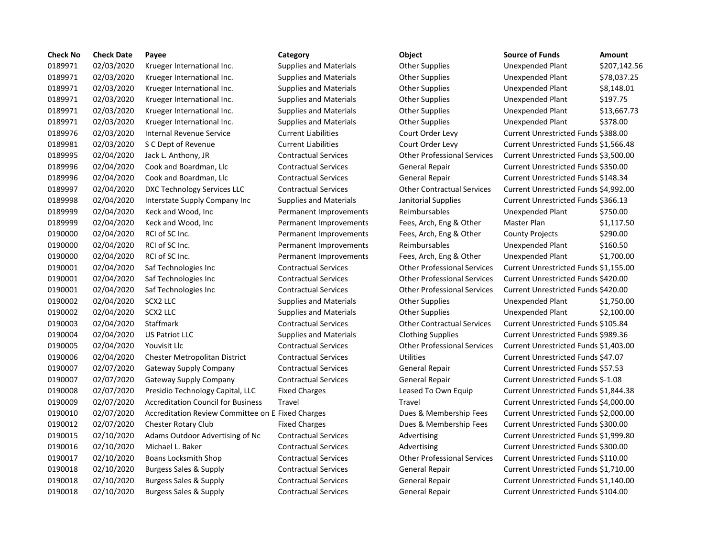| <b>Check No</b> | <b>Check Date</b> | Payee                                             | Category                      | Object                             | <b>Source of Funds</b>               | Amount    |
|-----------------|-------------------|---------------------------------------------------|-------------------------------|------------------------------------|--------------------------------------|-----------|
| 0189971         | 02/03/2020        | Krueger International Inc.                        | <b>Supplies and Materials</b> | <b>Other Supplies</b>              | Unexpended Plant                     | \$207,14  |
| 0189971         | 02/03/2020        | Krueger International Inc.                        | Supplies and Materials        | <b>Other Supplies</b>              | Unexpended Plant                     | \$78,037  |
| 0189971         | 02/03/2020        | Krueger International Inc.                        | <b>Supplies and Materials</b> | <b>Other Supplies</b>              | Unexpended Plant                     | \$8,148.0 |
| 0189971         | 02/03/2020        | Krueger International Inc.                        | <b>Supplies and Materials</b> | <b>Other Supplies</b>              | Unexpended Plant                     | \$197.75  |
| 0189971         | 02/03/2020        | Krueger International Inc.                        | <b>Supplies and Materials</b> | <b>Other Supplies</b>              | Unexpended Plant                     | \$13,667  |
| 0189971         | 02/03/2020        | Krueger International Inc.                        | <b>Supplies and Materials</b> | <b>Other Supplies</b>              | Unexpended Plant                     | \$378.00  |
| 0189976         | 02/03/2020        | Internal Revenue Service                          | <b>Current Liabilities</b>    | Court Order Levy                   | Current Unrestricted Funds \$388.00  |           |
| 0189981         | 02/03/2020        | S C Dept of Revenue                               | <b>Current Liabilities</b>    | Court Order Levy                   | Current Unrestricted Funds \$1,566.4 |           |
| 0189995         | 02/04/2020        | Jack L. Anthony, JR                               | <b>Contractual Services</b>   | <b>Other Professional Services</b> | Current Unrestricted Funds \$3,500.0 |           |
| 0189996         | 02/04/2020        | Cook and Boardman, Llc                            | <b>Contractual Services</b>   | General Repair                     | Current Unrestricted Funds \$350.00  |           |
| 0189996         | 02/04/2020        | Cook and Boardman, Llc                            | <b>Contractual Services</b>   | <b>General Repair</b>              | Current Unrestricted Funds \$148.34  |           |
| 0189997         | 02/04/2020        | DXC Technology Services LLC                       | <b>Contractual Services</b>   | <b>Other Contractual Services</b>  | Current Unrestricted Funds \$4,992.  |           |
| 0189998         | 02/04/2020        | Interstate Supply Company Inc                     | <b>Supplies and Materials</b> | Janitorial Supplies                | Current Unrestricted Funds \$366.13  |           |
| 0189999         | 02/04/2020        | Keck and Wood, Inc                                | Permanent Improvements        | Reimbursables                      | Unexpended Plant                     | \$750.00  |
| 0189999         | 02/04/2020        | Keck and Wood, Inc                                | Permanent Improvements        | Fees, Arch, Eng & Other            | Master Plan                          | \$1,117.5 |
| 0190000         | 02/04/2020        | RCI of SC Inc.                                    | Permanent Improvements        | Fees, Arch, Eng & Other            | <b>County Projects</b>               | \$290.00  |
| 0190000         | 02/04/2020        | RCI of SC Inc.                                    | Permanent Improvements        | Reimbursables                      | Unexpended Plant                     | \$160.50  |
| 0190000         | 02/04/2020        | RCI of SC Inc.                                    | Permanent Improvements        | Fees, Arch, Eng & Other            | Unexpended Plant                     | \$1,700.0 |
| 0190001         | 02/04/2020        | Saf Technologies Inc                              | <b>Contractual Services</b>   | <b>Other Professional Services</b> | Current Unrestricted Funds \$1,155.0 |           |
| 0190001         | 02/04/2020        | Saf Technologies Inc                              | <b>Contractual Services</b>   | <b>Other Professional Services</b> | Current Unrestricted Funds \$420.00  |           |
| 0190001         | 02/04/2020        | Saf Technologies Inc                              | <b>Contractual Services</b>   | <b>Other Professional Services</b> | Current Unrestricted Funds \$420.00  |           |
| 0190002         | 02/04/2020        | SCX2 LLC                                          | <b>Supplies and Materials</b> | <b>Other Supplies</b>              | Unexpended Plant                     | \$1,750.0 |
| 0190002         | 02/04/2020        | SCX2 LLC                                          | <b>Supplies and Materials</b> | <b>Other Supplies</b>              | Unexpended Plant                     | \$2,100.0 |
| 0190003         | 02/04/2020        | Staffmark                                         | <b>Contractual Services</b>   | <b>Other Contractual Services</b>  | Current Unrestricted Funds \$105.84  |           |
| 0190004         | 02/04/2020        | <b>US Patriot LLC</b>                             | <b>Supplies and Materials</b> | <b>Clothing Supplies</b>           | Current Unrestricted Funds \$989.36  |           |
| 0190005         | 02/04/2020        | Youvisit Llc                                      | <b>Contractual Services</b>   | <b>Other Professional Services</b> | Current Unrestricted Funds \$1,403.  |           |
| 0190006         | 02/04/2020        | Chester Metropolitan District                     | <b>Contractual Services</b>   | <b>Utilities</b>                   | Current Unrestricted Funds \$47.07   |           |
| 0190007         | 02/07/2020        | Gateway Supply Company                            | <b>Contractual Services</b>   | <b>General Repair</b>              | Current Unrestricted Funds \$57.53   |           |
| 0190007         | 02/07/2020        | Gateway Supply Company                            | <b>Contractual Services</b>   | General Repair                     | Current Unrestricted Funds \$-1.08   |           |
| 0190008         | 02/07/2020        | Presidio Technology Capital, LLC                  | <b>Fixed Charges</b>          | Leased To Own Equip                | Current Unrestricted Funds \$1,844.3 |           |
| 0190009         | 02/07/2020        | <b>Accreditation Council for Business</b>         | Travel                        | Travel                             | Current Unrestricted Funds \$4,000.  |           |
| 0190010         | 02/07/2020        | Accreditation Review Committee on E Fixed Charges |                               | Dues & Membership Fees             | Current Unrestricted Funds \$2,000.0 |           |
| 0190012         | 02/07/2020        | Chester Rotary Club                               | <b>Fixed Charges</b>          | Dues & Membership Fees             | Current Unrestricted Funds \$300.00  |           |
| 0190015         | 02/10/2020        | Adams Outdoor Advertising of Nc                   | <b>Contractual Services</b>   | Advertising                        | Current Unrestricted Funds \$1,999.8 |           |
| 0190016         | 02/10/2020        | Michael L. Baker                                  | <b>Contractual Services</b>   | Advertising                        | Current Unrestricted Funds \$300.00  |           |
| 0190017         | 02/10/2020        | Boans Locksmith Shop                              | <b>Contractual Services</b>   | <b>Other Professional Services</b> | Current Unrestricted Funds \$110.00  |           |
| 0190018         | 02/10/2020        | <b>Burgess Sales &amp; Supply</b>                 | <b>Contractual Services</b>   | <b>General Repair</b>              | Current Unrestricted Funds \$1,710.0 |           |
| 0190018         | 02/10/2020        | <b>Burgess Sales &amp; Supply</b>                 | <b>Contractual Services</b>   | General Repair                     | Current Unrestricted Funds \$1,140.0 |           |
| 0190018         | 02/10/2020        | <b>Burgess Sales &amp; Supply</b>                 | <b>Contractual Services</b>   | General Repair                     | Current Unrestricted Funds \$104.00  |           |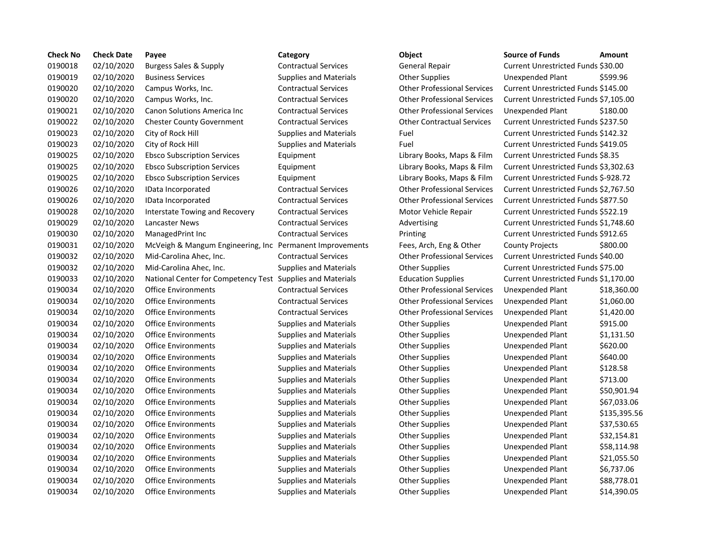| <b>Check No</b> | <b>Check Date</b> | Payee                                                      | Category                      | <b>Object</b>                      | <b>Source of Funds</b>                   | <b>Amount</b> |
|-----------------|-------------------|------------------------------------------------------------|-------------------------------|------------------------------------|------------------------------------------|---------------|
| 0190018         | 02/10/2020        | Burgess Sales & Supply                                     | <b>Contractual Services</b>   | General Repair                     | Current Unrestricted Funds \$30.00       |               |
| 0190019         | 02/10/2020        | <b>Business Services</b>                                   | <b>Supplies and Materials</b> | Other Supplies                     | Unexpended Plant                         | \$599.96      |
| 0190020         | 02/10/2020        | Campus Works, Inc.                                         | <b>Contractual Services</b>   | <b>Other Professional Services</b> | Current Unrestricted Funds \$145.00      |               |
| 0190020         | 02/10/2020        | Campus Works, Inc.                                         | <b>Contractual Services</b>   | <b>Other Professional Services</b> | Current Unrestricted Funds \$7,105.00    |               |
| 0190021         | 02/10/2020        | Canon Solutions America Inc                                | <b>Contractual Services</b>   | <b>Other Professional Services</b> | Unexpended Plant                         | \$180.00      |
| 0190022         | 02/10/2020        | <b>Chester County Government</b>                           | <b>Contractual Services</b>   | <b>Other Contractual Services</b>  | Current Unrestricted Funds \$237.50      |               |
| 0190023         | 02/10/2020        | City of Rock Hill                                          | <b>Supplies and Materials</b> | Fuel                               | Current Unrestricted Funds \$142.32      |               |
| 0190023         | 02/10/2020        | City of Rock Hill                                          | <b>Supplies and Materials</b> | Fuel                               | Current Unrestricted Funds \$419.05      |               |
| 0190025         | 02/10/2020        | <b>Ebsco Subscription Services</b>                         | Equipment                     | Library Books, Maps & Film         | <b>Current Unrestricted Funds \$8.35</b> |               |
| 0190025         | 02/10/2020        | <b>Ebsco Subscription Services</b>                         | Equipment                     | Library Books, Maps & Film         | Current Unrestricted Funds \$3,302.63    |               |
| 0190025         | 02/10/2020        | <b>Ebsco Subscription Services</b>                         | Equipment                     | Library Books, Maps & Film         | Current Unrestricted Funds \$-928.72     |               |
| 0190026         | 02/10/2020        | IData Incorporated                                         | <b>Contractual Services</b>   | <b>Other Professional Services</b> | Current Unrestricted Funds \$2,767.50    |               |
| 0190026         | 02/10/2020        | IData Incorporated                                         | <b>Contractual Services</b>   | <b>Other Professional Services</b> | Current Unrestricted Funds \$877.50      |               |
| 0190028         | 02/10/2020        | Interstate Towing and Recovery                             | <b>Contractual Services</b>   | Motor Vehicle Repair               | Current Unrestricted Funds \$522.19      |               |
| 0190029         | 02/10/2020        | Lancaster News                                             | <b>Contractual Services</b>   | Advertising                        | Current Unrestricted Funds \$1,748.60    |               |
| 0190030         | 02/10/2020        | ManagedPrint Inc                                           | <b>Contractual Services</b>   | Printing                           | Current Unrestricted Funds \$912.65      |               |
| 0190031         | 02/10/2020        | McVeigh & Mangum Engineering, Inc Permanent Improvements   |                               | Fees, Arch, Eng & Other            | <b>County Projects</b>                   | \$800.00      |
| 0190032         | 02/10/2020        | Mid-Carolina Ahec, Inc.                                    | <b>Contractual Services</b>   | <b>Other Professional Services</b> | Current Unrestricted Funds \$40.00       |               |
| 0190032         | 02/10/2020        | Mid-Carolina Ahec, Inc.                                    | <b>Supplies and Materials</b> | <b>Other Supplies</b>              | Current Unrestricted Funds \$75.00       |               |
| 0190033         | 02/10/2020        | National Center for Competency Test Supplies and Materials |                               | <b>Education Supplies</b>          | Current Unrestricted Funds \$1,170.00    |               |
| 0190034         | 02/10/2020        | <b>Office Environments</b>                                 | <b>Contractual Services</b>   | <b>Other Professional Services</b> | Unexpended Plant                         | \$18,360.00   |
| 0190034         | 02/10/2020        | <b>Office Environments</b>                                 | <b>Contractual Services</b>   | <b>Other Professional Services</b> | Unexpended Plant                         | \$1,060.00    |
| 0190034         | 02/10/2020        | <b>Office Environments</b>                                 | <b>Contractual Services</b>   | <b>Other Professional Services</b> | Unexpended Plant                         | \$1,420.00    |
| 0190034         | 02/10/2020        | <b>Office Environments</b>                                 | <b>Supplies and Materials</b> | <b>Other Supplies</b>              | Unexpended Plant                         | \$915.00      |
| 0190034         | 02/10/2020        | <b>Office Environments</b>                                 | <b>Supplies and Materials</b> | <b>Other Supplies</b>              | Unexpended Plant                         | \$1,131.50    |
| 0190034         | 02/10/2020        | <b>Office Environments</b>                                 | <b>Supplies and Materials</b> | <b>Other Supplies</b>              | Unexpended Plant                         | \$620.00      |
| 0190034         | 02/10/2020        | <b>Office Environments</b>                                 | <b>Supplies and Materials</b> | <b>Other Supplies</b>              | Unexpended Plant                         | \$640.00      |
| 0190034         | 02/10/2020        | <b>Office Environments</b>                                 | <b>Supplies and Materials</b> | <b>Other Supplies</b>              | Unexpended Plant                         | \$128.58      |
| 0190034         | 02/10/2020        | <b>Office Environments</b>                                 | <b>Supplies and Materials</b> | <b>Other Supplies</b>              | Unexpended Plant                         | \$713.00      |
| 0190034         | 02/10/2020        | <b>Office Environments</b>                                 | <b>Supplies and Materials</b> | <b>Other Supplies</b>              | Unexpended Plant                         | \$50,901.94   |
| 0190034         | 02/10/2020        | <b>Office Environments</b>                                 | <b>Supplies and Materials</b> | <b>Other Supplies</b>              | Unexpended Plant                         | \$67,033.06   |
| 0190034         | 02/10/2020        | <b>Office Environments</b>                                 | <b>Supplies and Materials</b> | <b>Other Supplies</b>              | Unexpended Plant                         | \$135,395.56  |
| 0190034         | 02/10/2020        | <b>Office Environments</b>                                 | <b>Supplies and Materials</b> | <b>Other Supplies</b>              | Unexpended Plant                         | \$37,530.65   |
| 0190034         | 02/10/2020        | <b>Office Environments</b>                                 | <b>Supplies and Materials</b> | <b>Other Supplies</b>              | Unexpended Plant                         | \$32,154.81   |
| 0190034         | 02/10/2020        | <b>Office Environments</b>                                 | <b>Supplies and Materials</b> | <b>Other Supplies</b>              | Unexpended Plant                         | \$58,114.98   |
| 0190034         | 02/10/2020        | Office Environments                                        | <b>Supplies and Materials</b> | <b>Other Supplies</b>              | Unexpended Plant                         | \$21,055.50   |
| 0190034         | 02/10/2020        | <b>Office Environments</b>                                 | <b>Supplies and Materials</b> | <b>Other Supplies</b>              | Unexpended Plant                         | \$6,737.06    |
| 0190034         | 02/10/2020        | <b>Office Environments</b>                                 | <b>Supplies and Materials</b> | <b>Other Supplies</b>              | Unexpended Plant                         | \$88,778.01   |
| 0190034         | 02/10/2020        | <b>Office Environments</b>                                 | <b>Supplies and Materials</b> | <b>Other Supplies</b>              | Unexpended Plant                         | \$14,390.05   |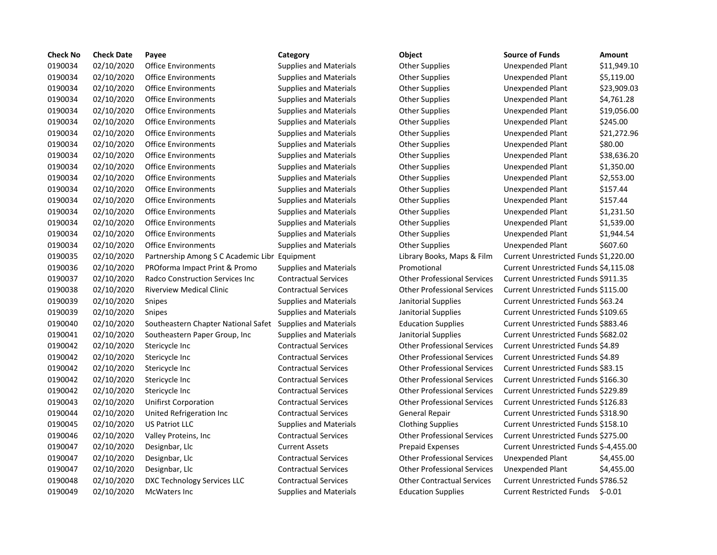| <b>Check No</b> | <b>Check Date</b> | Payee                                                      | Category                      | Object                             | <b>Source of Funds</b>                 | <b>Amount</b> |
|-----------------|-------------------|------------------------------------------------------------|-------------------------------|------------------------------------|----------------------------------------|---------------|
| 0190034         | 02/10/2020        | <b>Office Environments</b>                                 | <b>Supplies and Materials</b> | <b>Other Supplies</b>              | Unexpended Plant                       | \$11,949.10   |
| 0190034         | 02/10/2020        | Office Environments                                        | <b>Supplies and Materials</b> | <b>Other Supplies</b>              | Unexpended Plant                       | \$5,119.00    |
| 0190034         | 02/10/2020        | <b>Office Environments</b>                                 | <b>Supplies and Materials</b> | <b>Other Supplies</b>              | Unexpended Plant                       | \$23,909.03   |
| 0190034         | 02/10/2020        | <b>Office Environments</b>                                 | <b>Supplies and Materials</b> | <b>Other Supplies</b>              | Unexpended Plant                       | \$4,761.28    |
| 0190034         | 02/10/2020        | <b>Office Environments</b>                                 | <b>Supplies and Materials</b> | <b>Other Supplies</b>              | Unexpended Plant                       | \$19,056.00   |
| 0190034         | 02/10/2020        | <b>Office Environments</b>                                 | <b>Supplies and Materials</b> | <b>Other Supplies</b>              | Unexpended Plant                       | \$245.00      |
| 0190034         | 02/10/2020        | <b>Office Environments</b>                                 | <b>Supplies and Materials</b> | <b>Other Supplies</b>              | Unexpended Plant                       | \$21,272.96   |
| 0190034         | 02/10/2020        | <b>Office Environments</b>                                 | <b>Supplies and Materials</b> | <b>Other Supplies</b>              | Unexpended Plant                       | \$80.00       |
| 0190034         | 02/10/2020        | <b>Office Environments</b>                                 | <b>Supplies and Materials</b> | <b>Other Supplies</b>              | Unexpended Plant                       | \$38,636.20   |
| 0190034         | 02/10/2020        | Office Environments                                        | <b>Supplies and Materials</b> | <b>Other Supplies</b>              | Unexpended Plant                       | \$1,350.00    |
| 0190034         | 02/10/2020        | Office Environments                                        | <b>Supplies and Materials</b> | <b>Other Supplies</b>              | Unexpended Plant                       | \$2,553.00    |
| 0190034         | 02/10/2020        | <b>Office Environments</b>                                 | <b>Supplies and Materials</b> | <b>Other Supplies</b>              | Unexpended Plant                       | \$157.44      |
| 0190034         | 02/10/2020        | <b>Office Environments</b>                                 | <b>Supplies and Materials</b> | <b>Other Supplies</b>              | <b>Unexpended Plant</b>                | \$157.44      |
| 0190034         | 02/10/2020        | <b>Office Environments</b>                                 | <b>Supplies and Materials</b> | <b>Other Supplies</b>              | Unexpended Plant                       | \$1,231.50    |
| 0190034         | 02/10/2020        | <b>Office Environments</b>                                 | <b>Supplies and Materials</b> | <b>Other Supplies</b>              | Unexpended Plant                       | \$1,539.00    |
| 0190034         | 02/10/2020        | <b>Office Environments</b>                                 | <b>Supplies and Materials</b> | <b>Other Supplies</b>              | Unexpended Plant                       | \$1,944.54    |
| 0190034         | 02/10/2020        | <b>Office Environments</b>                                 | <b>Supplies and Materials</b> | <b>Other Supplies</b>              | Unexpended Plant                       | \$607.60      |
| 0190035         | 02/10/2020        | Partnership Among S C Academic Libr Equipment              |                               | Library Books, Maps & Film         | Current Unrestricted Funds \$1,220.00  |               |
| 0190036         | 02/10/2020        | PROforma Impact Print & Promo                              | <b>Supplies and Materials</b> | Promotional                        | Current Unrestricted Funds \$4,115.08  |               |
| 0190037         | 02/10/2020        | Radco Construction Services Inc                            | <b>Contractual Services</b>   | <b>Other Professional Services</b> | Current Unrestricted Funds \$911.35    |               |
| 0190038         | 02/10/2020        | <b>Riverview Medical Clinic</b>                            | <b>Contractual Services</b>   | <b>Other Professional Services</b> | Current Unrestricted Funds \$115.00    |               |
| 0190039         | 02/10/2020        | Snipes                                                     | Supplies and Materials        | Janitorial Supplies                | Current Unrestricted Funds \$63.24     |               |
| 0190039         | 02/10/2020        | Snipes                                                     | Supplies and Materials        | Janitorial Supplies                | Current Unrestricted Funds \$109.65    |               |
| 0190040         | 02/10/2020        | Southeastern Chapter National Safet Supplies and Materials |                               | <b>Education Supplies</b>          | Current Unrestricted Funds \$883.46    |               |
| 0190041         | 02/10/2020        | Southeastern Paper Group, Inc                              | <b>Supplies and Materials</b> | Janitorial Supplies                | Current Unrestricted Funds \$682.02    |               |
| 0190042         | 02/10/2020        | Stericycle Inc                                             | <b>Contractual Services</b>   | <b>Other Professional Services</b> | Current Unrestricted Funds \$4.89      |               |
| 0190042         | 02/10/2020        | Stericycle Inc                                             | <b>Contractual Services</b>   | <b>Other Professional Services</b> | Current Unrestricted Funds \$4.89      |               |
| 0190042         | 02/10/2020        | Stericycle Inc                                             | <b>Contractual Services</b>   | <b>Other Professional Services</b> | Current Unrestricted Funds \$83.15     |               |
| 0190042         | 02/10/2020        | Stericycle Inc                                             | <b>Contractual Services</b>   | <b>Other Professional Services</b> | Current Unrestricted Funds \$166.30    |               |
| 0190042         | 02/10/2020        | Stericycle Inc                                             | <b>Contractual Services</b>   | <b>Other Professional Services</b> | Current Unrestricted Funds \$229.89    |               |
| 0190043         | 02/10/2020        | Unifirst Corporation                                       | <b>Contractual Services</b>   | <b>Other Professional Services</b> | Current Unrestricted Funds \$126.83    |               |
| 0190044         | 02/10/2020        | United Refrigeration Inc                                   | <b>Contractual Services</b>   | General Repair                     | Current Unrestricted Funds \$318.90    |               |
| 0190045         | 02/10/2020        | <b>US Patriot LLC</b>                                      | <b>Supplies and Materials</b> | <b>Clothing Supplies</b>           | Current Unrestricted Funds \$158.10    |               |
| 0190046         | 02/10/2020        | Valley Proteins, Inc                                       | <b>Contractual Services</b>   | <b>Other Professional Services</b> | Current Unrestricted Funds \$275.00    |               |
| 0190047         | 02/10/2020        | Designbar, Llc                                             | <b>Current Assets</b>         | <b>Prepaid Expenses</b>            | Current Unrestricted Funds \$-4,455.00 |               |
| 0190047         | 02/10/2020        | Designbar, Llc                                             | <b>Contractual Services</b>   | <b>Other Professional Services</b> | Unexpended Plant                       | \$4,455.00    |
| 0190047         | 02/10/2020        | Designbar, Llc                                             | <b>Contractual Services</b>   | <b>Other Professional Services</b> | Unexpended Plant                       | \$4,455.00    |
| 0190048         | 02/10/2020        | DXC Technology Services LLC                                | <b>Contractual Services</b>   | <b>Other Contractual Services</b>  | Current Unrestricted Funds \$786.52    |               |
| 0190049         | 02/10/2020        | <b>McWaters Inc</b>                                        | <b>Supplies and Materials</b> | <b>Education Supplies</b>          | <b>Current Restricted Funds</b>        | $S - 0.01$    |

| )ject |           |
|-------|-----------|
|       | her Suppl |
|       | her Suppl |
|       | her Suppl |
|       | her Suppl |
|       | her Suppl |
|       | her Suppl |
|       |           |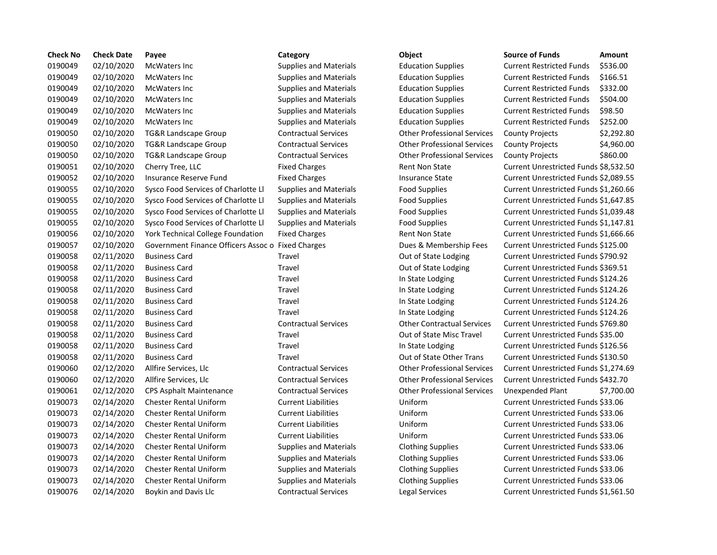| <b>Check No</b> | <b>Check Date</b> | Payee                                             | Category                      | Object                             | <b>Source of Funds</b>               | Amount    |
|-----------------|-------------------|---------------------------------------------------|-------------------------------|------------------------------------|--------------------------------------|-----------|
| 0190049         | 02/10/2020        | McWaters Inc                                      | <b>Supplies and Materials</b> | <b>Education Supplies</b>          | <b>Current Restricted Funds</b>      | \$536.00  |
| 0190049         | 02/10/2020        | McWaters Inc                                      | <b>Supplies and Materials</b> | <b>Education Supplies</b>          | <b>Current Restricted Funds</b>      | \$166.51  |
| 0190049         | 02/10/2020        | McWaters Inc                                      | <b>Supplies and Materials</b> | <b>Education Supplies</b>          | <b>Current Restricted Funds</b>      | \$332.00  |
| 0190049         | 02/10/2020        | <b>McWaters Inc</b>                               | Supplies and Materials        | <b>Education Supplies</b>          | <b>Current Restricted Funds</b>      | \$504.00  |
| 0190049         | 02/10/2020        | <b>McWaters Inc</b>                               | <b>Supplies and Materials</b> | <b>Education Supplies</b>          | <b>Current Restricted Funds</b>      | \$98.50   |
| 0190049         | 02/10/2020        | <b>McWaters Inc</b>                               | <b>Supplies and Materials</b> | <b>Education Supplies</b>          | <b>Current Restricted Funds</b>      | \$252.00  |
| 0190050         | 02/10/2020        | <b>TG&amp;R Landscape Group</b>                   | <b>Contractual Services</b>   | <b>Other Professional Services</b> | <b>County Projects</b>               | \$2,292.8 |
| 0190050         | 02/10/2020        | <b>TG&amp;R Landscape Group</b>                   | <b>Contractual Services</b>   | <b>Other Professional Services</b> | <b>County Projects</b>               | \$4,960.0 |
| 0190050         | 02/10/2020        | <b>TG&amp;R Landscape Group</b>                   | <b>Contractual Services</b>   | <b>Other Professional Services</b> | <b>County Projects</b>               | \$860.00  |
| 0190051         | 02/10/2020        | Cherry Tree, LLC                                  | <b>Fixed Charges</b>          | <b>Rent Non State</b>              | Current Unrestricted Funds \$8,532.5 |           |
| 0190052         | 02/10/2020        | Insurance Reserve Fund                            | <b>Fixed Charges</b>          | <b>Insurance State</b>             | Current Unrestricted Funds \$2,089.5 |           |
| 0190055         | 02/10/2020        | Sysco Food Services of Charlotte Ll               | <b>Supplies and Materials</b> | <b>Food Supplies</b>               | Current Unrestricted Funds \$1,260.6 |           |
| 0190055         | 02/10/2020        | Sysco Food Services of Charlotte Ll               | <b>Supplies and Materials</b> | <b>Food Supplies</b>               | Current Unrestricted Funds \$1,647.8 |           |
| 0190055         | 02/10/2020        | Sysco Food Services of Charlotte Ll               | <b>Supplies and Materials</b> | <b>Food Supplies</b>               | Current Unrestricted Funds \$1,039.4 |           |
| 0190055         | 02/10/2020        | Sysco Food Services of Charlotte Ll               | <b>Supplies and Materials</b> | <b>Food Supplies</b>               | Current Unrestricted Funds \$1,147.8 |           |
| 0190056         | 02/10/2020        | York Technical College Foundation                 | <b>Fixed Charges</b>          | <b>Rent Non State</b>              | Current Unrestricted Funds \$1,666.6 |           |
| 0190057         | 02/10/2020        | Government Finance Officers Assoc o Fixed Charges |                               | Dues & Membership Fees             | Current Unrestricted Funds \$125.00  |           |
| 0190058         | 02/11/2020        | <b>Business Card</b>                              | Travel                        | Out of State Lodging               | Current Unrestricted Funds \$790.92  |           |
| 0190058         | 02/11/2020        | <b>Business Card</b>                              | Travel                        | Out of State Lodging               | Current Unrestricted Funds \$369.51  |           |
| 0190058         | 02/11/2020        | <b>Business Card</b>                              | Travel                        | In State Lodging                   | Current Unrestricted Funds \$124.26  |           |
| 0190058         | 02/11/2020        | <b>Business Card</b>                              | Travel                        | In State Lodging                   | Current Unrestricted Funds \$124.26  |           |
| 0190058         | 02/11/2020        | <b>Business Card</b>                              | Travel                        | In State Lodging                   | Current Unrestricted Funds \$124.26  |           |
| 0190058         | 02/11/2020        | <b>Business Card</b>                              | Travel                        | In State Lodging                   | Current Unrestricted Funds \$124.26  |           |
| 0190058         | 02/11/2020        | <b>Business Card</b>                              | <b>Contractual Services</b>   | <b>Other Contractual Services</b>  | Current Unrestricted Funds \$769.80  |           |
| 0190058         | 02/11/2020        | <b>Business Card</b>                              | Travel                        | Out of State Misc Travel           | Current Unrestricted Funds \$35.00   |           |
| 0190058         | 02/11/2020        | <b>Business Card</b>                              | Travel                        | In State Lodging                   | Current Unrestricted Funds \$126.56  |           |
| 0190058         | 02/11/2020        | <b>Business Card</b>                              | Travel                        | Out of State Other Trans           | Current Unrestricted Funds \$130.50  |           |
| 0190060         | 02/12/2020        | Allfire Services, Llc                             | <b>Contractual Services</b>   | <b>Other Professional Services</b> | Current Unrestricted Funds \$1,274.6 |           |
| 0190060         | 02/12/2020        | Allfire Services, Llc                             | <b>Contractual Services</b>   | <b>Other Professional Services</b> | Current Unrestricted Funds \$432.70  |           |
| 0190061         | 02/12/2020        | CPS Asphalt Maintenance                           | <b>Contractual Services</b>   | <b>Other Professional Services</b> | Unexpended Plant                     | \$7,700.0 |
| 0190073         | 02/14/2020        | <b>Chester Rental Uniform</b>                     | <b>Current Liabilities</b>    | Uniform                            | Current Unrestricted Funds \$33.06   |           |
| 0190073         | 02/14/2020        | <b>Chester Rental Uniform</b>                     | <b>Current Liabilities</b>    | Uniform                            | Current Unrestricted Funds \$33.06   |           |
| 0190073         | 02/14/2020        | <b>Chester Rental Uniform</b>                     | <b>Current Liabilities</b>    | Uniform                            | Current Unrestricted Funds \$33.06   |           |
| 0190073         | 02/14/2020        | <b>Chester Rental Uniform</b>                     | <b>Current Liabilities</b>    | Uniform                            | Current Unrestricted Funds \$33.06   |           |
| 0190073         | 02/14/2020        | <b>Chester Rental Uniform</b>                     | <b>Supplies and Materials</b> | <b>Clothing Supplies</b>           | Current Unrestricted Funds \$33.06   |           |
| 0190073         | 02/14/2020        | <b>Chester Rental Uniform</b>                     | <b>Supplies and Materials</b> | <b>Clothing Supplies</b>           | Current Unrestricted Funds \$33.06   |           |
| 0190073         | 02/14/2020        | <b>Chester Rental Uniform</b>                     | <b>Supplies and Materials</b> | <b>Clothing Supplies</b>           | Current Unrestricted Funds \$33.06   |           |
| 0190073         | 02/14/2020        | <b>Chester Rental Uniform</b>                     | <b>Supplies and Materials</b> | <b>Clothing Supplies</b>           | Current Unrestricted Funds \$33.06   |           |
| 0190076         | 02/14/2020        | Boykin and Davis Llc                              | <b>Contractual Services</b>   | Legal Services                     | Current Unrestricted Funds \$1,561.5 |           |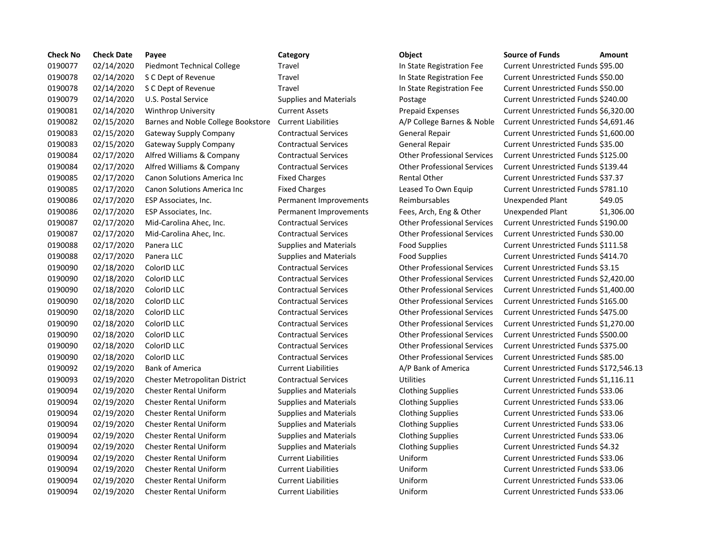| <b>Check No</b> | <b>Check Date</b> | Payee                              | Category                      | Object                             | <b>Source of Funds</b>                   | Amount     |
|-----------------|-------------------|------------------------------------|-------------------------------|------------------------------------|------------------------------------------|------------|
| 0190077         | 02/14/2020        | Piedmont Technical College         | Travel                        | In State Registration Fee          | Current Unrestricted Funds \$95.00       |            |
| 0190078         | 02/14/2020        | S C Dept of Revenue                | Travel                        | In State Registration Fee          | Current Unrestricted Funds \$50.00       |            |
| 0190078         | 02/14/2020        | S C Dept of Revenue                | Travel                        | In State Registration Fee          | Current Unrestricted Funds \$50.00       |            |
| 0190079         | 02/14/2020        | U.S. Postal Service                | <b>Supplies and Materials</b> | Postage                            | Current Unrestricted Funds \$240.00      |            |
| 0190081         | 02/14/2020        | Winthrop University                | <b>Current Assets</b>         | <b>Prepaid Expenses</b>            | Current Unrestricted Funds \$6,320.00    |            |
| 0190082         | 02/15/2020        | Barnes and Noble College Bookstore | <b>Current Liabilities</b>    | A/P College Barnes & Noble         | Current Unrestricted Funds \$4,691.46    |            |
| 0190083         | 02/15/2020        | <b>Gateway Supply Company</b>      | <b>Contractual Services</b>   | General Repair                     | Current Unrestricted Funds \$1,600.00    |            |
| 0190083         | 02/15/2020        | <b>Gateway Supply Company</b>      | <b>Contractual Services</b>   | General Repair                     | Current Unrestricted Funds \$35.00       |            |
| 0190084         | 02/17/2020        | Alfred Williams & Company          | <b>Contractual Services</b>   | <b>Other Professional Services</b> | Current Unrestricted Funds \$125.00      |            |
| 0190084         | 02/17/2020        | Alfred Williams & Company          | <b>Contractual Services</b>   | <b>Other Professional Services</b> | Current Unrestricted Funds \$139.44      |            |
| 0190085         | 02/17/2020        | Canon Solutions America Inc        | <b>Fixed Charges</b>          | <b>Rental Other</b>                | Current Unrestricted Funds \$37.37       |            |
| 0190085         | 02/17/2020        | Canon Solutions America Inc        | <b>Fixed Charges</b>          | Leased To Own Equip                | Current Unrestricted Funds \$781.10      |            |
| 0190086         | 02/17/2020        | ESP Associates, Inc.               | Permanent Improvements        | Reimbursables                      | Unexpended Plant                         | \$49.05    |
| 0190086         | 02/17/2020        | ESP Associates, Inc.               | Permanent Improvements        | Fees, Arch, Eng & Other            | Unexpended Plant                         | \$1,306.00 |
| 0190087         | 02/17/2020        | Mid-Carolina Ahec, Inc.            | <b>Contractual Services</b>   | <b>Other Professional Services</b> | Current Unrestricted Funds \$190.00      |            |
| 0190087         | 02/17/2020        | Mid-Carolina Ahec, Inc.            | <b>Contractual Services</b>   | <b>Other Professional Services</b> | Current Unrestricted Funds \$30.00       |            |
| 0190088         | 02/17/2020        | Panera LLC                         | <b>Supplies and Materials</b> | <b>Food Supplies</b>               | Current Unrestricted Funds \$111.58      |            |
| 0190088         | 02/17/2020        | Panera LLC                         | <b>Supplies and Materials</b> | <b>Food Supplies</b>               | Current Unrestricted Funds \$414.70      |            |
| 0190090         | 02/18/2020        | ColorID LLC                        | <b>Contractual Services</b>   | <b>Other Professional Services</b> | Current Unrestricted Funds \$3.15        |            |
| 0190090         | 02/18/2020        | ColorID LLC                        | <b>Contractual Services</b>   | <b>Other Professional Services</b> | Current Unrestricted Funds \$2,420.00    |            |
| 0190090         | 02/18/2020        | ColorID LLC                        | <b>Contractual Services</b>   | <b>Other Professional Services</b> | Current Unrestricted Funds \$1,400.00    |            |
| 0190090         | 02/18/2020        | ColorID LLC                        | <b>Contractual Services</b>   | <b>Other Professional Services</b> | Current Unrestricted Funds \$165.00      |            |
| 0190090         | 02/18/2020        | ColorID LLC                        | <b>Contractual Services</b>   | <b>Other Professional Services</b> | Current Unrestricted Funds \$475.00      |            |
| 0190090         | 02/18/2020        | ColorID LLC                        | <b>Contractual Services</b>   | <b>Other Professional Services</b> | Current Unrestricted Funds \$1,270.00    |            |
| 0190090         | 02/18/2020        | ColorID LLC                        | <b>Contractual Services</b>   | <b>Other Professional Services</b> | Current Unrestricted Funds \$500.00      |            |
| 0190090         | 02/18/2020        | ColorID LLC                        | <b>Contractual Services</b>   | <b>Other Professional Services</b> | Current Unrestricted Funds \$375.00      |            |
| 0190090         | 02/18/2020        | ColorID LLC                        | <b>Contractual Services</b>   | <b>Other Professional Services</b> | Current Unrestricted Funds \$85.00       |            |
| 0190092         | 02/19/2020        | <b>Bank of America</b>             | <b>Current Liabilities</b>    | A/P Bank of America                | Current Unrestricted Funds \$172,546.    |            |
| 0190093         | 02/19/2020        | Chester Metropolitan District      | <b>Contractual Services</b>   | <b>Utilities</b>                   | Current Unrestricted Funds \$1,116.11    |            |
| 0190094         | 02/19/2020        | <b>Chester Rental Uniform</b>      | <b>Supplies and Materials</b> | <b>Clothing Supplies</b>           | Current Unrestricted Funds \$33.06       |            |
| 0190094         | 02/19/2020        | <b>Chester Rental Uniform</b>      | Supplies and Materials        | <b>Clothing Supplies</b>           | Current Unrestricted Funds \$33.06       |            |
| 0190094         | 02/19/2020        | <b>Chester Rental Uniform</b>      | <b>Supplies and Materials</b> | <b>Clothing Supplies</b>           | Current Unrestricted Funds \$33.06       |            |
| 0190094         | 02/19/2020        | <b>Chester Rental Uniform</b>      | <b>Supplies and Materials</b> | <b>Clothing Supplies</b>           | Current Unrestricted Funds \$33.06       |            |
| 0190094         | 02/19/2020        | <b>Chester Rental Uniform</b>      | <b>Supplies and Materials</b> | <b>Clothing Supplies</b>           | Current Unrestricted Funds \$33.06       |            |
| 0190094         | 02/19/2020        | <b>Chester Rental Uniform</b>      | <b>Supplies and Materials</b> | <b>Clothing Supplies</b>           | <b>Current Unrestricted Funds \$4.32</b> |            |
| 0190094         | 02/19/2020        | <b>Chester Rental Uniform</b>      | <b>Current Liabilities</b>    | Uniform                            | Current Unrestricted Funds \$33.06       |            |
| 0190094         | 02/19/2020        | <b>Chester Rental Uniform</b>      | <b>Current Liabilities</b>    | Uniform                            | Current Unrestricted Funds \$33.06       |            |
| 0190094         | 02/19/2020        | <b>Chester Rental Uniform</b>      | <b>Current Liabilities</b>    | Uniform                            | Current Unrestricted Funds \$33.06       |            |
| 0190094         | 02/19/2020        | <b>Chester Rental Uniform</b>      | <b>Current Liabilities</b>    | Uniform                            | Current Unrestricted Funds \$33.06       |            |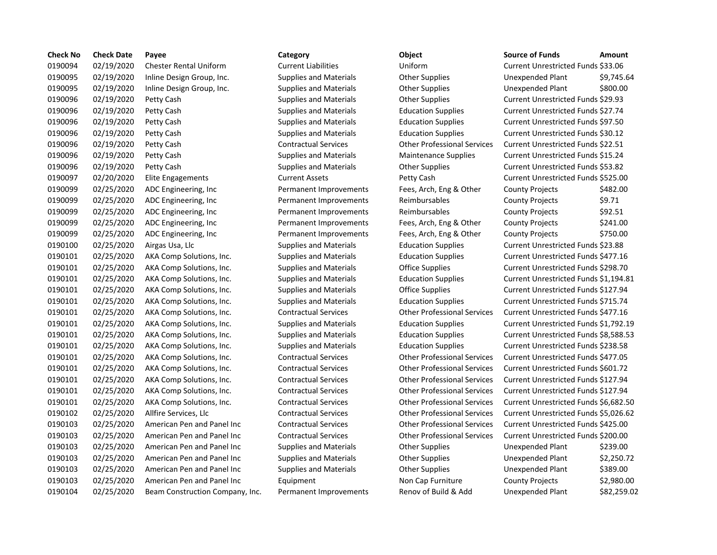| <b>Check No</b> | <b>Check Date</b> | Payee                           | Category                      | Object                             | <b>Source of Funds</b>                    | <b>Amount</b> |
|-----------------|-------------------|---------------------------------|-------------------------------|------------------------------------|-------------------------------------------|---------------|
| 0190094         | 02/19/2020        | <b>Chester Rental Uniform</b>   | <b>Current Liabilities</b>    | Uniform                            | Current Unrestricted Funds \$33.06        |               |
| 0190095         | 02/19/2020        | Inline Design Group, Inc.       | <b>Supplies and Materials</b> | <b>Other Supplies</b>              | Unexpended Plant                          | \$9,745.64    |
| 0190095         | 02/19/2020        | Inline Design Group, Inc.       | <b>Supplies and Materials</b> | <b>Other Supplies</b>              | Unexpended Plant                          | \$800.00      |
| 0190096         | 02/19/2020        | Petty Cash                      | Supplies and Materials        | <b>Other Supplies</b>              | Current Unrestricted Funds \$29.93        |               |
| 0190096         | 02/19/2020        | Petty Cash                      | Supplies and Materials        | <b>Education Supplies</b>          | Current Unrestricted Funds \$27.74        |               |
| 0190096         | 02/19/2020        | Petty Cash                      | <b>Supplies and Materials</b> | <b>Education Supplies</b>          | <b>Current Unrestricted Funds \$97.50</b> |               |
| 0190096         | 02/19/2020        | Petty Cash                      | <b>Supplies and Materials</b> | <b>Education Supplies</b>          | Current Unrestricted Funds \$30.12        |               |
| 0190096         | 02/19/2020        | Petty Cash                      | <b>Contractual Services</b>   | <b>Other Professional Services</b> | Current Unrestricted Funds \$22.51        |               |
| 0190096         | 02/19/2020        | Petty Cash                      | <b>Supplies and Materials</b> | <b>Maintenance Supplies</b>        | Current Unrestricted Funds \$15.24        |               |
| 0190096         | 02/19/2020        | Petty Cash                      | <b>Supplies and Materials</b> | <b>Other Supplies</b>              | Current Unrestricted Funds \$53.82        |               |
| 0190097         | 02/20/2020        | Elite Engagements               | <b>Current Assets</b>         | Petty Cash                         | Current Unrestricted Funds \$525.00       |               |
| 0190099         | 02/25/2020        | ADC Engineering, Inc            | Permanent Improvements        | Fees, Arch, Eng & Other            | <b>County Projects</b>                    | \$482.00      |
| 0190099         | 02/25/2020        | ADC Engineering, Inc            | Permanent Improvements        | Reimbursables                      | <b>County Projects</b>                    | \$9.71        |
| 0190099         | 02/25/2020        | ADC Engineering, Inc.           | Permanent Improvements        | Reimbursables                      | <b>County Projects</b>                    | \$92.51       |
| 0190099         | 02/25/2020        | ADC Engineering, Inc.           | Permanent Improvements        | Fees, Arch, Eng & Other            | <b>County Projects</b>                    | \$241.00      |
| 0190099         | 02/25/2020        | ADC Engineering, Inc            | Permanent Improvements        | Fees, Arch, Eng & Other            | <b>County Projects</b>                    | \$750.00      |
| 0190100         | 02/25/2020        | Airgas Usa, Llc                 | <b>Supplies and Materials</b> | <b>Education Supplies</b>          | Current Unrestricted Funds \$23.88        |               |
| 0190101         | 02/25/2020        | AKA Comp Solutions, Inc.        | <b>Supplies and Materials</b> | <b>Education Supplies</b>          | Current Unrestricted Funds \$477.16       |               |
| 0190101         | 02/25/2020        | AKA Comp Solutions, Inc.        | Supplies and Materials        | Office Supplies                    | Current Unrestricted Funds \$298.70       |               |
| 0190101         | 02/25/2020        | AKA Comp Solutions, Inc.        | <b>Supplies and Materials</b> | <b>Education Supplies</b>          | Current Unrestricted Funds \$1,194.81     |               |
| 0190101         | 02/25/2020        | AKA Comp Solutions, Inc.        | Supplies and Materials        | Office Supplies                    | Current Unrestricted Funds \$127.94       |               |
| 0190101         | 02/25/2020        | AKA Comp Solutions, Inc.        | Supplies and Materials        | <b>Education Supplies</b>          | Current Unrestricted Funds \$715.74       |               |
| 0190101         | 02/25/2020        | AKA Comp Solutions, Inc.        | <b>Contractual Services</b>   | <b>Other Professional Services</b> | Current Unrestricted Funds \$477.16       |               |
| 0190101         | 02/25/2020        | AKA Comp Solutions, Inc.        | <b>Supplies and Materials</b> | <b>Education Supplies</b>          | Current Unrestricted Funds \$1,792.19     |               |
| 0190101         | 02/25/2020        | AKA Comp Solutions, Inc.        | <b>Supplies and Materials</b> | <b>Education Supplies</b>          | Current Unrestricted Funds \$8,588.53     |               |
| 0190101         | 02/25/2020        | AKA Comp Solutions, Inc.        | <b>Supplies and Materials</b> | <b>Education Supplies</b>          | Current Unrestricted Funds \$238.58       |               |
| 0190101         | 02/25/2020        | AKA Comp Solutions, Inc.        | <b>Contractual Services</b>   | <b>Other Professional Services</b> | Current Unrestricted Funds \$477.05       |               |
| 0190101         | 02/25/2020        | AKA Comp Solutions, Inc.        | <b>Contractual Services</b>   | <b>Other Professional Services</b> | Current Unrestricted Funds \$601.72       |               |
| 0190101         | 02/25/2020        | AKA Comp Solutions, Inc.        | <b>Contractual Services</b>   | <b>Other Professional Services</b> | Current Unrestricted Funds \$127.94       |               |
| 0190101         | 02/25/2020        | AKA Comp Solutions, Inc.        | <b>Contractual Services</b>   | <b>Other Professional Services</b> | Current Unrestricted Funds \$127.94       |               |
| 0190101         | 02/25/2020        | AKA Comp Solutions, Inc.        | <b>Contractual Services</b>   | <b>Other Professional Services</b> | Current Unrestricted Funds \$6,682.50     |               |
| 0190102         | 02/25/2020        | Allfire Services, Llc           | <b>Contractual Services</b>   | <b>Other Professional Services</b> | Current Unrestricted Funds \$5,026.62     |               |
| 0190103         | 02/25/2020        | American Pen and Panel Inc      | <b>Contractual Services</b>   | <b>Other Professional Services</b> | Current Unrestricted Funds \$425.00       |               |
| 0190103         | 02/25/2020        | American Pen and Panel Inc      | <b>Contractual Services</b>   | <b>Other Professional Services</b> | Current Unrestricted Funds \$200.00       |               |
| 0190103         | 02/25/2020        | American Pen and Panel Inc      | <b>Supplies and Materials</b> | <b>Other Supplies</b>              | Unexpended Plant                          | \$239.00      |
| 0190103         | 02/25/2020        | American Pen and Panel Inc      | Supplies and Materials        | <b>Other Supplies</b>              | Unexpended Plant                          | \$2,250.72    |
| 0190103         | 02/25/2020        | American Pen and Panel Inc      | <b>Supplies and Materials</b> | <b>Other Supplies</b>              | Unexpended Plant                          | \$389.00      |
| 0190103         | 02/25/2020        | American Pen and Panel Inc      | Equipment                     | Non Cap Furniture                  | <b>County Projects</b>                    | \$2,980.00    |
| 0190104         | 02/25/2020        | Beam Construction Company, Inc. | Permanent Improvements        | Renov of Build & Add               | Unexpended Plant                          | \$82,259.0    |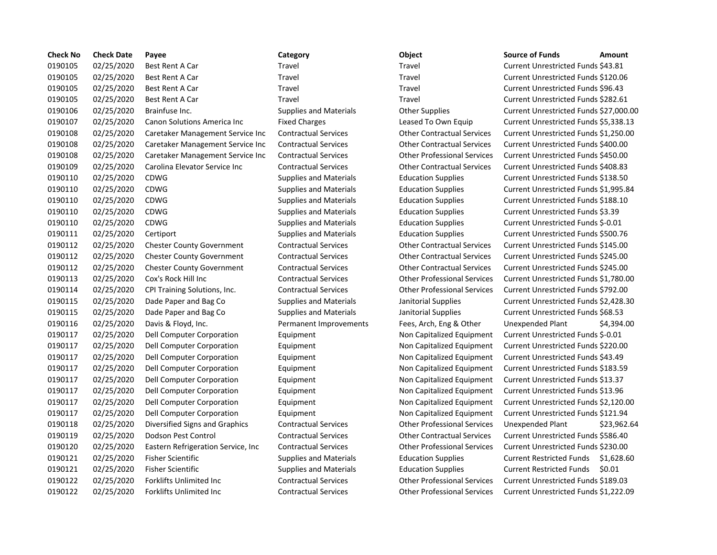| <b>Check No</b> | <b>Check Date</b> | Payee                              | Category                      | Object                             | <b>Source of Funds</b><br><b>Amount</b>       |
|-----------------|-------------------|------------------------------------|-------------------------------|------------------------------------|-----------------------------------------------|
| 0190105         | 02/25/2020        | Best Rent A Car                    | Travel                        | Travel                             | Current Unrestricted Funds \$43.81            |
| 0190105         | 02/25/2020        | Best Rent A Car                    | Travel                        | Travel                             | Current Unrestricted Funds \$120.06           |
| 0190105         | 02/25/2020        | Best Rent A Car                    | Travel                        | Travel                             | Current Unrestricted Funds \$96.43            |
| 0190105         | 02/25/2020        | Best Rent A Car                    | Travel                        | Travel                             | Current Unrestricted Funds \$282.61           |
| 0190106         | 02/25/2020        | Brainfuse Inc.                     | <b>Supplies and Materials</b> | <b>Other Supplies</b>              | Current Unrestricted Funds \$27,000.00        |
| 0190107         | 02/25/2020        | Canon Solutions America Inc        | <b>Fixed Charges</b>          | Leased To Own Equip                | Current Unrestricted Funds \$5,338.13         |
| 0190108         | 02/25/2020        | Caretaker Management Service Inc   | <b>Contractual Services</b>   | <b>Other Contractual Services</b>  | Current Unrestricted Funds \$1,250.00         |
| 0190108         | 02/25/2020        | Caretaker Management Service Inc   | <b>Contractual Services</b>   | <b>Other Contractual Services</b>  | Current Unrestricted Funds \$400.00           |
| 0190108         | 02/25/2020        | Caretaker Management Service Inc   | <b>Contractual Services</b>   | <b>Other Professional Services</b> | Current Unrestricted Funds \$450.00           |
| 0190109         | 02/25/2020        | Carolina Elevator Service Inc      | <b>Contractual Services</b>   | <b>Other Contractual Services</b>  | Current Unrestricted Funds \$408.83           |
| 0190110         | 02/25/2020        | <b>CDWG</b>                        | Supplies and Materials        | <b>Education Supplies</b>          | Current Unrestricted Funds \$138.50           |
| 0190110         | 02/25/2020        | <b>CDWG</b>                        | <b>Supplies and Materials</b> | <b>Education Supplies</b>          | Current Unrestricted Funds \$1,995.84         |
| 0190110         | 02/25/2020        | <b>CDWG</b>                        | <b>Supplies and Materials</b> | <b>Education Supplies</b>          | Current Unrestricted Funds \$188.10           |
| 0190110         | 02/25/2020        | <b>CDWG</b>                        | <b>Supplies and Materials</b> | <b>Education Supplies</b>          | Current Unrestricted Funds \$3.39             |
| 0190110         | 02/25/2020        | <b>CDWG</b>                        | <b>Supplies and Materials</b> | <b>Education Supplies</b>          | Current Unrestricted Funds \$-0.01            |
| 0190111         | 02/25/2020        | Certiport                          | <b>Supplies and Materials</b> | <b>Education Supplies</b>          | Current Unrestricted Funds \$500.76           |
| 0190112         | 02/25/2020        | <b>Chester County Government</b>   | <b>Contractual Services</b>   | <b>Other Contractual Services</b>  | Current Unrestricted Funds \$145.00           |
| 0190112         | 02/25/2020        | <b>Chester County Government</b>   | <b>Contractual Services</b>   | <b>Other Contractual Services</b>  | Current Unrestricted Funds \$245.00           |
| 0190112         | 02/25/2020        | <b>Chester County Government</b>   | <b>Contractual Services</b>   | <b>Other Contractual Services</b>  | Current Unrestricted Funds \$245.00           |
| 0190113         | 02/25/2020        | Cox's Rock Hill Inc                | <b>Contractual Services</b>   | <b>Other Professional Services</b> | Current Unrestricted Funds \$1,780.00         |
| 0190114         | 02/25/2020        | CPI Training Solutions, Inc.       | <b>Contractual Services</b>   | <b>Other Professional Services</b> | Current Unrestricted Funds \$792.00           |
| 0190115         | 02/25/2020        | Dade Paper and Bag Co              | <b>Supplies and Materials</b> | Janitorial Supplies                | Current Unrestricted Funds \$2,428.30         |
| 0190115         | 02/25/2020        | Dade Paper and Bag Co              | <b>Supplies and Materials</b> | Janitorial Supplies                | Current Unrestricted Funds \$68.53            |
| 0190116         | 02/25/2020        | Davis & Floyd, Inc.                | Permanent Improvements        | Fees, Arch, Eng & Other            | Unexpended Plant<br>\$4,394.00                |
| 0190117         | 02/25/2020        | Dell Computer Corporation          | Equipment                     | Non Capitalized Equipment          | Current Unrestricted Funds \$-0.01            |
| 0190117         | 02/25/2020        | Dell Computer Corporation          | Equipment                     | Non Capitalized Equipment          | Current Unrestricted Funds \$220.00           |
| 0190117         | 02/25/2020        | Dell Computer Corporation          | Equipment                     | Non Capitalized Equipment          | Current Unrestricted Funds \$43.49            |
| 0190117         | 02/25/2020        | Dell Computer Corporation          | Equipment                     | Non Capitalized Equipment          | Current Unrestricted Funds \$183.59           |
| 0190117         | 02/25/2020        | Dell Computer Corporation          | Equipment                     | Non Capitalized Equipment          | Current Unrestricted Funds \$13.37            |
| 0190117         | 02/25/2020        | Dell Computer Corporation          | Equipment                     | Non Capitalized Equipment          | Current Unrestricted Funds \$13.96            |
| 0190117         | 02/25/2020        | Dell Computer Corporation          | Equipment                     | Non Capitalized Equipment          | Current Unrestricted Funds \$2,120.00         |
| 0190117         | 02/25/2020        | Dell Computer Corporation          | Equipment                     | Non Capitalized Equipment          | Current Unrestricted Funds \$121.94           |
| 0190118         | 02/25/2020        | Diversified Signs and Graphics     | <b>Contractual Services</b>   | <b>Other Professional Services</b> | Unexpended Plant<br>\$23,962.64               |
| 0190119         | 02/25/2020        | Dodson Pest Control                | <b>Contractual Services</b>   | <b>Other Contractual Services</b>  | Current Unrestricted Funds \$586.40           |
| 0190120         | 02/25/2020        | Eastern Refrigeration Service, Inc | <b>Contractual Services</b>   | <b>Other Professional Services</b> | Current Unrestricted Funds \$230.00           |
| 0190121         | 02/25/2020        | <b>Fisher Scientific</b>           | <b>Supplies and Materials</b> | <b>Education Supplies</b>          | <b>Current Restricted Funds</b><br>\$1,628.60 |
| 0190121         | 02/25/2020        | <b>Fisher Scientific</b>           | <b>Supplies and Materials</b> | <b>Education Supplies</b>          | <b>Current Restricted Funds</b><br>\$0.01     |
| 0190122         | 02/25/2020        | Forklifts Unlimited Inc            | <b>Contractual Services</b>   | <b>Other Professional Services</b> | Current Unrestricted Funds \$189.03           |
| 0190122         | 02/25/2020        | <b>Forklifts Unlimited Inc.</b>    | <b>Contractual Services</b>   | Other Professional Services        | Current Unrestricted Funds \$1,222.09         |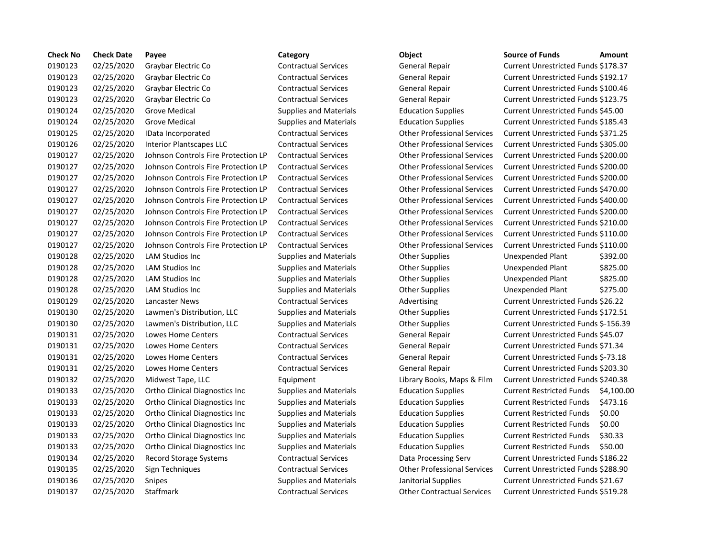| <b>Check No</b> | <b>Check Date</b> | Payee                               | Category                      | Object                             | <b>Source of Funds</b><br>Amount              |
|-----------------|-------------------|-------------------------------------|-------------------------------|------------------------------------|-----------------------------------------------|
| 0190123         | 02/25/2020        | Graybar Electric Co                 | <b>Contractual Services</b>   | General Repair                     | Current Unrestricted Funds \$178.37           |
| 0190123         | 02/25/2020        | Graybar Electric Co                 | <b>Contractual Services</b>   | General Repair                     | Current Unrestricted Funds \$192.17           |
| 0190123         | 02/25/2020        | Graybar Electric Co                 | <b>Contractual Services</b>   | General Repair                     | Current Unrestricted Funds \$100.46           |
| 0190123         | 02/25/2020        | Graybar Electric Co                 | <b>Contractual Services</b>   | General Repair                     | Current Unrestricted Funds \$123.75           |
| 0190124         | 02/25/2020        | <b>Grove Medical</b>                | <b>Supplies and Materials</b> | <b>Education Supplies</b>          | Current Unrestricted Funds \$45.00            |
| 0190124         | 02/25/2020        | <b>Grove Medical</b>                | <b>Supplies and Materials</b> | <b>Education Supplies</b>          | Current Unrestricted Funds \$185.43           |
| 0190125         | 02/25/2020        | IData Incorporated                  | <b>Contractual Services</b>   | <b>Other Professional Services</b> | Current Unrestricted Funds \$371.25           |
| 0190126         | 02/25/2020        | <b>Interior Plantscapes LLC</b>     | <b>Contractual Services</b>   | <b>Other Professional Services</b> | Current Unrestricted Funds \$305.00           |
| 0190127         | 02/25/2020        | Johnson Controls Fire Protection LP | <b>Contractual Services</b>   | <b>Other Professional Services</b> | Current Unrestricted Funds \$200.00           |
| 0190127         | 02/25/2020        | Johnson Controls Fire Protection LP | <b>Contractual Services</b>   | <b>Other Professional Services</b> | Current Unrestricted Funds \$200.00           |
| 0190127         | 02/25/2020        | Johnson Controls Fire Protection LP | <b>Contractual Services</b>   | <b>Other Professional Services</b> | Current Unrestricted Funds \$200.00           |
| 0190127         | 02/25/2020        | Johnson Controls Fire Protection LP | <b>Contractual Services</b>   | <b>Other Professional Services</b> | Current Unrestricted Funds \$470.00           |
| 0190127         | 02/25/2020        | Johnson Controls Fire Protection LP | <b>Contractual Services</b>   | <b>Other Professional Services</b> | Current Unrestricted Funds \$400.00           |
| 0190127         | 02/25/2020        | Johnson Controls Fire Protection LP | <b>Contractual Services</b>   | <b>Other Professional Services</b> | Current Unrestricted Funds \$200.00           |
| 0190127         | 02/25/2020        | Johnson Controls Fire Protection LP | <b>Contractual Services</b>   | <b>Other Professional Services</b> | Current Unrestricted Funds \$210.00           |
| 0190127         | 02/25/2020        | Johnson Controls Fire Protection LP | <b>Contractual Services</b>   | <b>Other Professional Services</b> | Current Unrestricted Funds \$110.00           |
| 0190127         | 02/25/2020        | Johnson Controls Fire Protection LP | <b>Contractual Services</b>   | <b>Other Professional Services</b> | Current Unrestricted Funds \$110.00           |
| 0190128         | 02/25/2020        | <b>LAM Studios Inc</b>              | Supplies and Materials        | <b>Other Supplies</b>              | Unexpended Plant<br>\$392.00                  |
| 0190128         | 02/25/2020        | <b>LAM Studios Inc</b>              | <b>Supplies and Materials</b> | <b>Other Supplies</b>              | \$825.00<br>Unexpended Plant                  |
| 0190128         | 02/25/2020        | <b>LAM Studios Inc</b>              | Supplies and Materials        | Other Supplies                     | Unexpended Plant<br>\$825.00                  |
| 0190128         | 02/25/2020        | <b>LAM Studios Inc</b>              | <b>Supplies and Materials</b> | <b>Other Supplies</b>              | Unexpended Plant<br>\$275.00                  |
| 0190129         | 02/25/2020        | Lancaster News                      | <b>Contractual Services</b>   | Advertising                        | Current Unrestricted Funds \$26.22            |
| 0190130         | 02/25/2020        | Lawmen's Distribution, LLC          | <b>Supplies and Materials</b> | <b>Other Supplies</b>              | Current Unrestricted Funds \$172.51           |
| 0190130         | 02/25/2020        | Lawmen's Distribution, LLC          | <b>Supplies and Materials</b> | <b>Other Supplies</b>              | Current Unrestricted Funds \$-156.39          |
| 0190131         | 02/25/2020        | Lowes Home Centers                  | <b>Contractual Services</b>   | General Repair                     | Current Unrestricted Funds \$45.07            |
| 0190131         | 02/25/2020        | Lowes Home Centers                  | <b>Contractual Services</b>   | General Repair                     | Current Unrestricted Funds \$71.34            |
| 0190131         | 02/25/2020        | Lowes Home Centers                  | <b>Contractual Services</b>   | General Repair                     | Current Unrestricted Funds \$-73.18           |
| 0190131         | 02/25/2020        | Lowes Home Centers                  | <b>Contractual Services</b>   | General Repair                     | Current Unrestricted Funds \$203.30           |
| 0190132         | 02/25/2020        | Midwest Tape, LLC                   | Equipment                     | Library Books, Maps & Film         | Current Unrestricted Funds \$240.38           |
| 0190133         | 02/25/2020        | Ortho Clinical Diagnostics Inc      | <b>Supplies and Materials</b> | <b>Education Supplies</b>          | <b>Current Restricted Funds</b><br>$$4,100$ . |
| 0190133         | 02/25/2020        | Ortho Clinical Diagnostics Inc      | <b>Supplies and Materials</b> | <b>Education Supplies</b>          | \$473.16<br><b>Current Restricted Funds</b>   |
| 0190133         | 02/25/2020        | Ortho Clinical Diagnostics Inc      | <b>Supplies and Materials</b> | <b>Education Supplies</b>          | <b>Current Restricted Funds</b><br>\$0.00     |
| 0190133         | 02/25/2020        | Ortho Clinical Diagnostics Inc      | <b>Supplies and Materials</b> | <b>Education Supplies</b>          | <b>Current Restricted Funds</b><br>\$0.00     |
| 0190133         | 02/25/2020        | Ortho Clinical Diagnostics Inc      | Supplies and Materials        | <b>Education Supplies</b>          | <b>Current Restricted Funds</b><br>\$30.33    |
| 0190133         | 02/25/2020        | Ortho Clinical Diagnostics Inc      | <b>Supplies and Materials</b> | <b>Education Supplies</b>          | \$50.00<br><b>Current Restricted Funds</b>    |
| 0190134         | 02/25/2020        | Record Storage Systems              | <b>Contractual Services</b>   | Data Processing Serv               | Current Unrestricted Funds \$186.22           |
| 0190135         | 02/25/2020        | Sign Techniques                     | <b>Contractual Services</b>   | <b>Other Professional Services</b> | Current Unrestricted Funds \$288.90           |
| 0190136         | 02/25/2020        | Snipes                              | Supplies and Materials        | Janitorial Supplies                | Current Unrestricted Funds \$21.67            |
| 0190137         | 02/25/2020        | Staffmark                           | <b>Contractual Services</b>   | <b>Other Contractual Services</b>  | Current Unrestricted Funds \$519.28           |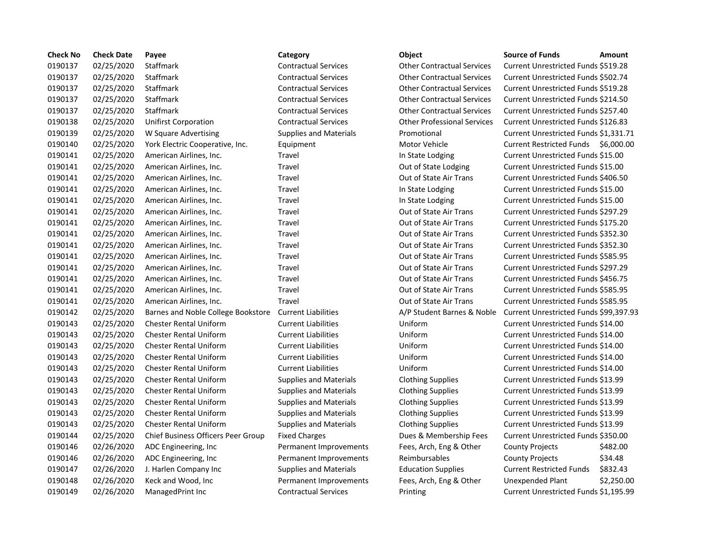| <b>Check No</b> | <b>Check Date</b> | Payee                              | Category                      | Object                             | <b>Source of Funds</b>                | <b>Amount</b> |
|-----------------|-------------------|------------------------------------|-------------------------------|------------------------------------|---------------------------------------|---------------|
| 0190137         | 02/25/2020        | Staffmark                          | <b>Contractual Services</b>   | <b>Other Contractual Services</b>  | Current Unrestricted Funds \$519.28   |               |
| 0190137         | 02/25/2020        | Staffmark                          | <b>Contractual Services</b>   | <b>Other Contractual Services</b>  | Current Unrestricted Funds \$502.74   |               |
| 0190137         | 02/25/2020        | Staffmark                          | <b>Contractual Services</b>   | <b>Other Contractual Services</b>  | Current Unrestricted Funds \$519.28   |               |
| 0190137         | 02/25/2020        | Staffmark                          | <b>Contractual Services</b>   | <b>Other Contractual Services</b>  | Current Unrestricted Funds \$214.50   |               |
| 0190137         | 02/25/2020        | Staffmark                          | <b>Contractual Services</b>   | <b>Other Contractual Services</b>  | Current Unrestricted Funds \$257.40   |               |
| 0190138         | 02/25/2020        | <b>Unifirst Corporation</b>        | <b>Contractual Services</b>   | <b>Other Professional Services</b> | Current Unrestricted Funds \$126.83   |               |
| 0190139         | 02/25/2020        | W Square Advertising               | <b>Supplies and Materials</b> | Promotional                        | Current Unrestricted Funds \$1,331.71 |               |
| 0190140         | 02/25/2020        | York Electric Cooperative, Inc.    | Equipment                     | Motor Vehicle                      | <b>Current Restricted Funds</b>       | \$6,000.00    |
| 0190141         | 02/25/2020        | American Airlines, Inc.            | Travel                        | In State Lodging                   | Current Unrestricted Funds \$15.00    |               |
| 0190141         | 02/25/2020        | American Airlines, Inc.            | Travel                        | Out of State Lodging               | Current Unrestricted Funds \$15.00    |               |
| 0190141         | 02/25/2020        | American Airlines, Inc.            | Travel                        | Out of State Air Trans             | Current Unrestricted Funds \$406.50   |               |
| 0190141         | 02/25/2020        | American Airlines, Inc.            | Travel                        | In State Lodging                   | Current Unrestricted Funds \$15.00    |               |
| 0190141         | 02/25/2020        | American Airlines, Inc.            | Travel                        | In State Lodging                   | Current Unrestricted Funds \$15.00    |               |
| 0190141         | 02/25/2020        | American Airlines, Inc.            | Travel                        | Out of State Air Trans             | Current Unrestricted Funds \$297.29   |               |
| 0190141         | 02/25/2020        | American Airlines, Inc.            | Travel                        | Out of State Air Trans             | Current Unrestricted Funds \$175.20   |               |
| 0190141         | 02/25/2020        | American Airlines, Inc.            | Travel                        | Out of State Air Trans             | Current Unrestricted Funds \$352.30   |               |
| 0190141         | 02/25/2020        | American Airlines, Inc.            | Travel                        | Out of State Air Trans             | Current Unrestricted Funds \$352.30   |               |
| 0190141         | 02/25/2020        | American Airlines, Inc.            | Travel                        | Out of State Air Trans             | Current Unrestricted Funds \$585.95   |               |
| 0190141         | 02/25/2020        | American Airlines, Inc.            | Travel                        | Out of State Air Trans             | Current Unrestricted Funds \$297.29   |               |
| 0190141         | 02/25/2020        | American Airlines, Inc.            | Travel                        | Out of State Air Trans             | Current Unrestricted Funds \$456.75   |               |
| 0190141         | 02/25/2020        | American Airlines, Inc.            | Travel                        | Out of State Air Trans             | Current Unrestricted Funds \$585.95   |               |
| 0190141         | 02/25/2020        | American Airlines, Inc.            | Travel                        | Out of State Air Trans             | Current Unrestricted Funds \$585.95   |               |
| 0190142         | 02/25/2020        | Barnes and Noble College Bookstore | <b>Current Liabilities</b>    | A/P Student Barnes & Noble         | Current Unrestricted Funds \$99,397.9 |               |
| 0190143         | 02/25/2020        | <b>Chester Rental Uniform</b>      | <b>Current Liabilities</b>    | Uniform                            | Current Unrestricted Funds \$14.00    |               |
| 0190143         | 02/25/2020        | <b>Chester Rental Uniform</b>      | <b>Current Liabilities</b>    | Uniform                            | Current Unrestricted Funds \$14.00    |               |
| 0190143         | 02/25/2020        | <b>Chester Rental Uniform</b>      | <b>Current Liabilities</b>    | Uniform                            | Current Unrestricted Funds \$14.00    |               |
| 0190143         | 02/25/2020        | <b>Chester Rental Uniform</b>      | <b>Current Liabilities</b>    | Uniform                            | Current Unrestricted Funds \$14.00    |               |
| 0190143         | 02/25/2020        | <b>Chester Rental Uniform</b>      | <b>Current Liabilities</b>    | Uniform                            | Current Unrestricted Funds \$14.00    |               |
| 0190143         | 02/25/2020        | <b>Chester Rental Uniform</b>      | <b>Supplies and Materials</b> | <b>Clothing Supplies</b>           | Current Unrestricted Funds \$13.99    |               |
| 0190143         | 02/25/2020        | <b>Chester Rental Uniform</b>      | <b>Supplies and Materials</b> | <b>Clothing Supplies</b>           | Current Unrestricted Funds \$13.99    |               |
| 0190143         | 02/25/2020        | <b>Chester Rental Uniform</b>      | <b>Supplies and Materials</b> | <b>Clothing Supplies</b>           | Current Unrestricted Funds \$13.99    |               |
| 0190143         | 02/25/2020        | <b>Chester Rental Uniform</b>      | <b>Supplies and Materials</b> | <b>Clothing Supplies</b>           | Current Unrestricted Funds \$13.99    |               |
| 0190143         | 02/25/2020        | <b>Chester Rental Uniform</b>      | <b>Supplies and Materials</b> | <b>Clothing Supplies</b>           | Current Unrestricted Funds \$13.99    |               |
| 0190144         | 02/25/2020        | Chief Business Officers Peer Group | <b>Fixed Charges</b>          | Dues & Membership Fees             | Current Unrestricted Funds \$350.00   |               |
| 0190146         | 02/26/2020        | ADC Engineering, Inc.              | Permanent Improvements        | Fees, Arch, Eng & Other            | <b>County Projects</b>                | \$482.00      |
| 0190146         | 02/26/2020        | ADC Engineering, Inc.              | Permanent Improvements        | Reimbursables                      | <b>County Projects</b>                | \$34.48       |
| 0190147         | 02/26/2020        | J. Harlen Company Inc.             | <b>Supplies and Materials</b> | <b>Education Supplies</b>          | <b>Current Restricted Funds</b>       | \$832.43      |
| 0190148         | 02/26/2020        | Keck and Wood, Inc                 | Permanent Improvements        | Fees, Arch, Eng & Other            | Unexpended Plant                      | \$2,250.00    |
| 0190149         | 02/26/2020        | ManagedPrint Inc                   | <b>Contractual Services</b>   | Printing                           | Current Unrestricted Funds \$1,195.99 |               |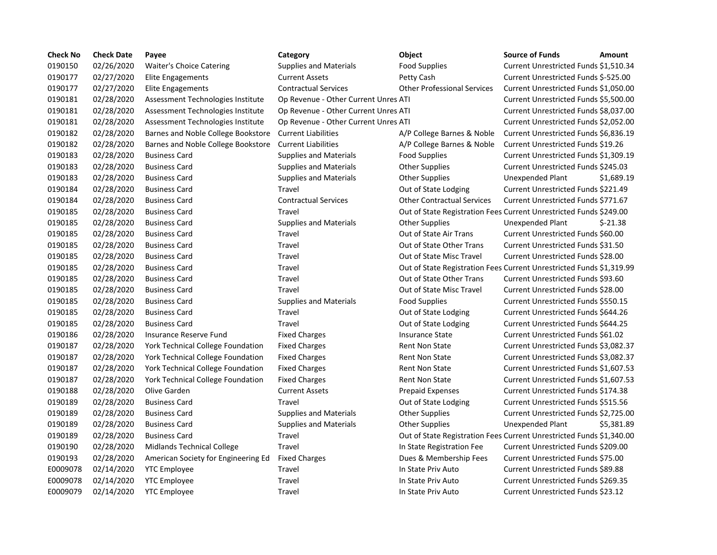| <b>Check No</b> | <b>Check Date</b> | Payee                                    | Category                             | Object                                                               | <b>Source of Funds</b>                | Amount     |
|-----------------|-------------------|------------------------------------------|--------------------------------------|----------------------------------------------------------------------|---------------------------------------|------------|
| 0190150         | 02/26/2020        | Waiter's Choice Catering                 | <b>Supplies and Materials</b>        | <b>Food Supplies</b>                                                 | Current Unrestricted Funds \$1,510.34 |            |
| 0190177         | 02/27/2020        | Elite Engagements                        | <b>Current Assets</b>                | Petty Cash                                                           | Current Unrestricted Funds \$-525.00  |            |
| 0190177         | 02/27/2020        | Elite Engagements                        | <b>Contractual Services</b>          | <b>Other Professional Services</b>                                   | Current Unrestricted Funds \$1,050.00 |            |
| 0190181         | 02/28/2020        | Assessment Technologies Institute        | Op Revenue - Other Current Unres ATI |                                                                      | Current Unrestricted Funds \$5,500.00 |            |
| 0190181         | 02/28/2020        | Assessment Technologies Institute        | Op Revenue - Other Current Unres ATI |                                                                      | Current Unrestricted Funds \$8,037.00 |            |
| 0190181         | 02/28/2020        | Assessment Technologies Institute        | Op Revenue - Other Current Unres ATI |                                                                      | Current Unrestricted Funds \$2,052.00 |            |
| 0190182         | 02/28/2020        | Barnes and Noble College Bookstore       | <b>Current Liabilities</b>           | A/P College Barnes & Noble                                           | Current Unrestricted Funds \$6,836.19 |            |
| 0190182         | 02/28/2020        | Barnes and Noble College Bookstore       | <b>Current Liabilities</b>           | A/P College Barnes & Noble                                           | Current Unrestricted Funds \$19.26    |            |
| 0190183         | 02/28/2020        | <b>Business Card</b>                     | <b>Supplies and Materials</b>        | <b>Food Supplies</b>                                                 | Current Unrestricted Funds \$1,309.19 |            |
| 0190183         | 02/28/2020        | <b>Business Card</b>                     | <b>Supplies and Materials</b>        | <b>Other Supplies</b>                                                | Current Unrestricted Funds \$245.03   |            |
| 0190183         | 02/28/2020        | <b>Business Card</b>                     | <b>Supplies and Materials</b>        | <b>Other Supplies</b>                                                | Unexpended Plant                      | \$1,689.19 |
| 0190184         | 02/28/2020        | <b>Business Card</b>                     | Travel                               | Out of State Lodging                                                 | Current Unrestricted Funds \$221.49   |            |
| 0190184         | 02/28/2020        | <b>Business Card</b>                     | <b>Contractual Services</b>          | <b>Other Contractual Services</b>                                    | Current Unrestricted Funds \$771.67   |            |
| 0190185         | 02/28/2020        | <b>Business Card</b>                     | Travel                               | Out of State Registration Fees Current Unrestricted Funds \$249.00   |                                       |            |
| 0190185         | 02/28/2020        | <b>Business Card</b>                     | <b>Supplies and Materials</b>        | <b>Other Supplies</b>                                                | Unexpended Plant                      | $$-21.38$  |
| 0190185         | 02/28/2020        | <b>Business Card</b>                     | Travel                               | Out of State Air Trans                                               | Current Unrestricted Funds \$60.00    |            |
| 0190185         | 02/28/2020        | <b>Business Card</b>                     | Travel                               | Out of State Other Trans                                             | Current Unrestricted Funds \$31.50    |            |
| 0190185         | 02/28/2020        | <b>Business Card</b>                     | Travel                               | Out of State Misc Travel                                             | Current Unrestricted Funds \$28.00    |            |
| 0190185         | 02/28/2020        | <b>Business Card</b>                     | Travel                               | Out of State Registration Fees Current Unrestricted Funds \$1,319.99 |                                       |            |
| 0190185         | 02/28/2020        | <b>Business Card</b>                     | Travel                               | Out of State Other Trans                                             | Current Unrestricted Funds \$93.60    |            |
| 0190185         | 02/28/2020        | <b>Business Card</b>                     | Travel                               | Out of State Misc Travel                                             | Current Unrestricted Funds \$28.00    |            |
| 0190185         | 02/28/2020        | <b>Business Card</b>                     | <b>Supplies and Materials</b>        | <b>Food Supplies</b>                                                 | Current Unrestricted Funds \$550.15   |            |
| 0190185         | 02/28/2020        | <b>Business Card</b>                     | Travel                               | Out of State Lodging                                                 | Current Unrestricted Funds \$644.26   |            |
| 0190185         | 02/28/2020        | <b>Business Card</b>                     | Travel                               | Out of State Lodging                                                 | Current Unrestricted Funds \$644.25   |            |
| 0190186         | 02/28/2020        | Insurance Reserve Fund                   | <b>Fixed Charges</b>                 | <b>Insurance State</b>                                               | Current Unrestricted Funds \$61.02    |            |
| 0190187         | 02/28/2020        | York Technical College Foundation        | <b>Fixed Charges</b>                 | <b>Rent Non State</b>                                                | Current Unrestricted Funds \$3,082.37 |            |
| 0190187         | 02/28/2020        | York Technical College Foundation        | <b>Fixed Charges</b>                 | <b>Rent Non State</b>                                                | Current Unrestricted Funds \$3,082.37 |            |
| 0190187         | 02/28/2020        | York Technical College Foundation        | <b>Fixed Charges</b>                 | <b>Rent Non State</b>                                                | Current Unrestricted Funds \$1,607.53 |            |
| 0190187         | 02/28/2020        | <b>York Technical College Foundation</b> | <b>Fixed Charges</b>                 | <b>Rent Non State</b>                                                | Current Unrestricted Funds \$1,607.53 |            |
| 0190188         | 02/28/2020        | Olive Garden                             | <b>Current Assets</b>                | <b>Prepaid Expenses</b>                                              | Current Unrestricted Funds \$174.38   |            |
| 0190189         | 02/28/2020        | <b>Business Card</b>                     | Travel                               | Out of State Lodging                                                 | Current Unrestricted Funds \$515.56   |            |
| 0190189         | 02/28/2020        | <b>Business Card</b>                     | <b>Supplies and Materials</b>        | <b>Other Supplies</b>                                                | Current Unrestricted Funds \$2,725.00 |            |
| 0190189         | 02/28/2020        | <b>Business Card</b>                     | <b>Supplies and Materials</b>        | <b>Other Supplies</b>                                                | Unexpended Plant                      | \$5,381.89 |
| 0190189         | 02/28/2020        | <b>Business Card</b>                     | Travel                               | Out of State Registration Fees Current Unrestricted Funds \$1,340.00 |                                       |            |
| 0190190         | 02/28/2020        | Midlands Technical College               | Travel                               | In State Registration Fee                                            | Current Unrestricted Funds \$209.00   |            |
| 0190193         | 02/28/2020        | American Society for Engineering Ed      | <b>Fixed Charges</b>                 | Dues & Membership Fees                                               | Current Unrestricted Funds \$75.00    |            |
| E0009078        | 02/14/2020        | <b>YTC Employee</b>                      | Travel                               | In State Priv Auto                                                   | Current Unrestricted Funds \$89.88    |            |
| E0009078        | 02/14/2020        | <b>YTC Employee</b>                      | Travel                               | In State Priv Auto                                                   | Current Unrestricted Funds \$269.35   |            |
| E0009079        | 02/14/2020        | <b>YTC Employee</b>                      | Travel                               | In State Priv Auto                                                   | Current Unrestricted Funds \$23.12    |            |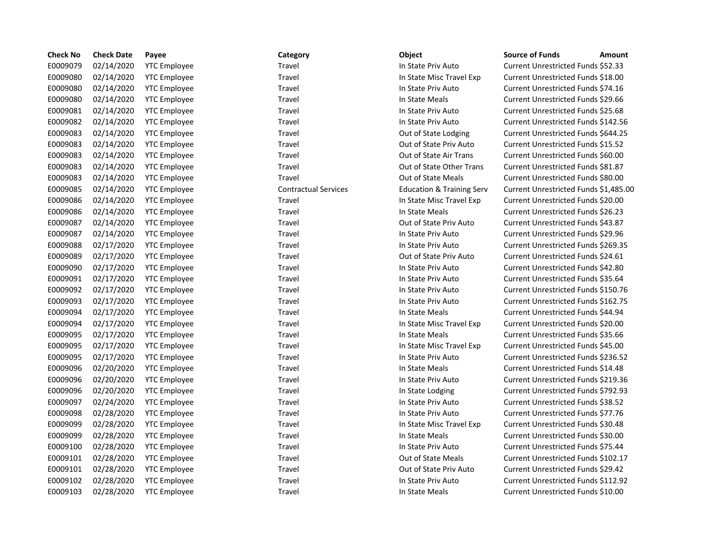| <b>Check No</b> | <b>Check Date</b> | Payee               | Category                    | Object                               | <b>Source of Funds</b><br>Amount           |
|-----------------|-------------------|---------------------|-----------------------------|--------------------------------------|--------------------------------------------|
| E0009079        | 02/14/2020        | <b>YTC</b> Employee | Travel                      | In State Priv Auto                   | Current Unrestricted Funds \$52.33         |
| E0009080        | 02/14/2020        | <b>YTC Employee</b> | Travel                      | In State Misc Travel Exp             | Current Unrestricted Funds \$18.00         |
| E0009080        | 02/14/2020        | <b>YTC Employee</b> | Travel                      | In State Priv Auto                   | Current Unrestricted Funds \$74.16         |
| E0009080        | 02/14/2020        | <b>YTC Employee</b> | Travel                      | In State Meals                       | Current Unrestricted Funds \$29.66         |
| E0009081        | 02/14/2020        | <b>YTC Employee</b> | Travel                      | In State Priv Auto                   | <b>Current Unrestricted Funds \$25.68</b>  |
| E0009082        | 02/14/2020        | <b>YTC Employee</b> | Travel                      | In State Priv Auto                   | Current Unrestricted Funds \$142.56        |
| E0009083        | 02/14/2020        | <b>YTC Employee</b> | Travel                      | Out of State Lodging                 | Current Unrestricted Funds \$644.25        |
| E0009083        | 02/14/2020        | <b>YTC Employee</b> | Travel                      | Out of State Priv Auto               | Current Unrestricted Funds \$15.52         |
| E0009083        | 02/14/2020        | <b>YTC Employee</b> | <b>Travel</b>               | Out of State Air Trans               | Current Unrestricted Funds \$60.00         |
| E0009083        | 02/14/2020        | <b>YTC Employee</b> | Travel                      | Out of State Other Trans             | Current Unrestricted Funds \$81.87         |
| E0009083        | 02/14/2020        | <b>YTC Employee</b> | Travel                      | Out of State Meals                   | Current Unrestricted Funds \$80.00         |
| E0009085        | 02/14/2020        | <b>YTC</b> Employee | <b>Contractual Services</b> | <b>Education &amp; Training Serv</b> | Current Unrestricted Funds \$1,485.        |
| E0009086        | 02/14/2020        | <b>YTC Employee</b> | Travel                      | In State Misc Travel Exp             | Current Unrestricted Funds \$20.00         |
| E0009086        | 02/14/2020        | <b>YTC Employee</b> | Travel                      | In State Meals                       | Current Unrestricted Funds \$26.23         |
| E0009087        | 02/14/2020        | <b>YTC Employee</b> | Travel                      | Out of State Priv Auto               | Current Unrestricted Funds \$43.87         |
| E0009087        | 02/14/2020        | <b>YTC Employee</b> | Travel                      | In State Priv Auto                   | <b>Current Unrestricted Funds \$29.96</b>  |
| E0009088        | 02/17/2020        | <b>YTC Employee</b> | Travel                      | In State Priv Auto                   | Current Unrestricted Funds \$269.35        |
| E0009089        | 02/17/2020        | <b>YTC Employee</b> | Travel                      | Out of State Priv Auto               | Current Unrestricted Funds \$24.61         |
| E0009090        | 02/17/2020        | <b>YTC Employee</b> | Travel                      | In State Priv Auto                   | Current Unrestricted Funds \$42.80         |
| E0009091        | 02/17/2020        | <b>YTC Employee</b> | Travel                      | In State Priv Auto                   | Current Unrestricted Funds \$35.64         |
| E0009092        | 02/17/2020        | <b>YTC Employee</b> | Travel                      | In State Priv Auto                   | Current Unrestricted Funds \$150.76        |
| E0009093        | 02/17/2020        | <b>YTC</b> Employee | Travel                      | In State Priv Auto                   | Current Unrestricted Funds \$162.75        |
| E0009094        | 02/17/2020        | <b>YTC</b> Employee | Travel                      | In State Meals                       | Current Unrestricted Funds \$44.94         |
| E0009094        | 02/17/2020        | <b>YTC Employee</b> | Travel                      | In State Misc Travel Exp             | Current Unrestricted Funds \$20.00         |
| E0009095        | 02/17/2020        | <b>YTC Employee</b> | Travel                      | In State Meals                       | Current Unrestricted Funds \$35.66         |
| E0009095        | 02/17/2020        | <b>YTC Employee</b> | Travel                      | In State Misc Travel Exp             | Current Unrestricted Funds \$45.00         |
| E0009095        | 02/17/2020        | <b>YTC Employee</b> | Travel                      | In State Priv Auto                   | Current Unrestricted Funds \$236.52        |
| E0009096        | 02/20/2020        | <b>YTC Employee</b> | Travel                      | In State Meals                       | Current Unrestricted Funds \$14.48         |
| E0009096        | 02/20/2020        | <b>YTC Employee</b> | Travel                      | In State Priv Auto                   | Current Unrestricted Funds \$219.36        |
| E0009096        | 02/20/2020        | <b>YTC Employee</b> | Travel                      | In State Lodging                     | Current Unrestricted Funds \$792.93        |
| E0009097        | 02/24/2020        | <b>YTC Employee</b> | Travel                      | In State Priv Auto                   | Current Unrestricted Funds \$38.52         |
| E0009098        | 02/28/2020        | <b>YTC Employee</b> | Travel                      | In State Priv Auto                   | Current Unrestricted Funds \$77.76         |
| E0009099        | 02/28/2020        | <b>YTC Employee</b> | Travel                      | In State Misc Travel Exp             | Current Unrestricted Funds \$30.48         |
| E0009099        | 02/28/2020        | <b>YTC Employee</b> | Travel                      | In State Meals                       | Current Unrestricted Funds \$30.00         |
| E0009100        | 02/28/2020        | <b>YTC Employee</b> | Travel                      | In State Priv Auto                   | Current Unrestricted Funds \$75.44         |
| E0009101        | 02/28/2020        | <b>YTC Employee</b> | Travel                      | Out of State Meals                   | Current Unrestricted Funds \$102.17        |
| E0009101        | 02/28/2020        | <b>YTC Employee</b> | Travel                      | Out of State Priv Auto               | Current Unrestricted Funds \$29.42         |
| E0009102        | 02/28/2020        | <b>YTC Employee</b> | Travel                      | In State Priv Auto                   | <b>Current Unrestricted Funds \$112.92</b> |
| E0009103        | 02/28/2020        | <b>YTC Employee</b> | Travel                      | In State Meals                       | Current Unrestricted Funds \$10.00         |

| ategory         |
|-----------------|
| avel            |
| avel:           |
| avel:           |
| avel            |
| avel            |
| avel            |
| avel            |
| avel            |
| avel            |
| avel            |
| avel            |
| ontractual Serv |
| avel            |
| avel            |
| avel            |
| avel            |
| avel            |
| avel            |
| avel:           |
| avel            |
| avel            |
| avel            |
| avel            |
| avel            |
| avel            |
| avel            |
| avel            |
| avel            |
| avel            |
| avel:           |
| avel            |
| avel            |
| avel            |
| avel            |
| avel            |
| avel            |
| avel            |
| avel            |
| ام رد٠          |